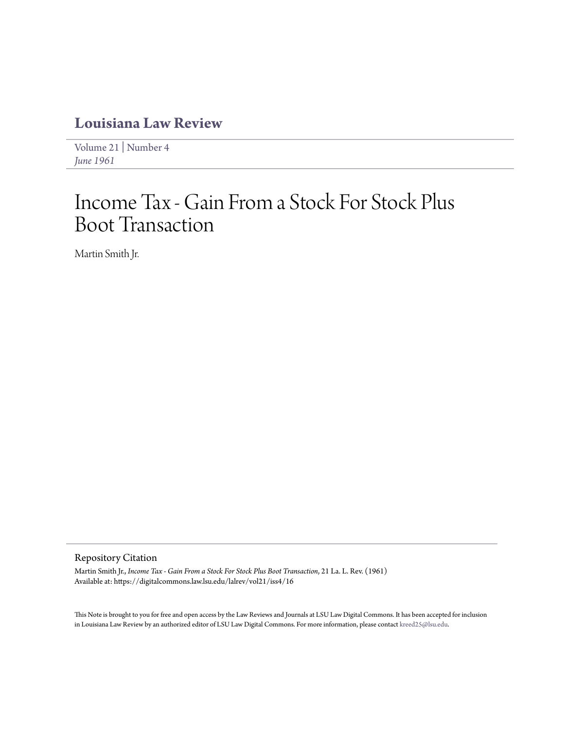# **[Louisiana Law Review](https://digitalcommons.law.lsu.edu/lalrev)**

[Volume 21](https://digitalcommons.law.lsu.edu/lalrev/vol21) | [Number 4](https://digitalcommons.law.lsu.edu/lalrev/vol21/iss4) *[June 1961](https://digitalcommons.law.lsu.edu/lalrev/vol21/iss4)*

# Income Tax - Gain From a Stock For Stock Plus Boot Transaction

Martin Smith Jr.

#### Repository Citation

Martin Smith Jr., *Income Tax - Gain From a Stock For Stock Plus Boot Transaction*, 21 La. L. Rev. (1961) Available at: https://digitalcommons.law.lsu.edu/lalrev/vol21/iss4/16

This Note is brought to you for free and open access by the Law Reviews and Journals at LSU Law Digital Commons. It has been accepted for inclusion in Louisiana Law Review by an authorized editor of LSU Law Digital Commons. For more information, please contact [kreed25@lsu.edu](mailto:kreed25@lsu.edu).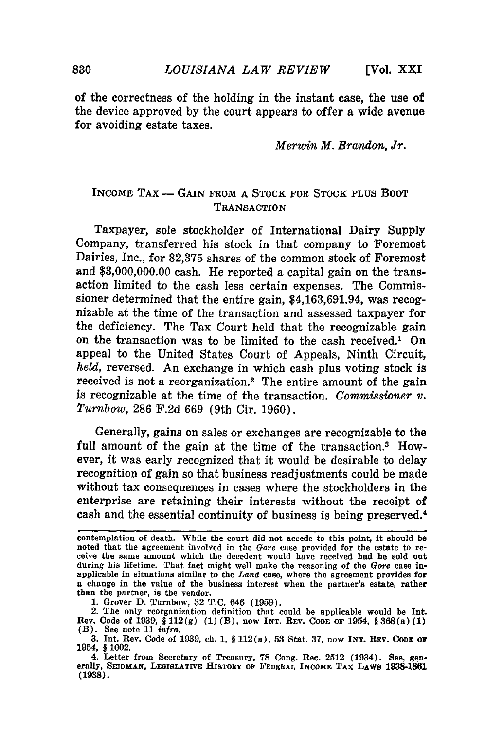**[Vol. XXI**

of the correctness of the holding in the instant **case,** the use of the device approved **by** the court appears to offer a wide avenue for avoiding estate taxes.

*Merwin M. Brandon, Jr.*

#### INCOME TAX - GAIN FROM A STOCK FOR STOCK PLUS BOOT **TRANSACTION**

Taxpayer, sole stockholder of International Dairy Supply Company, transferred his stock in that company to Foremost Dairies, Inc., for 82,375 shares of the common stock of Foremost and \$3,000,000.00 cash. He reported a capital gain on the transaction limited to the cash less certain expenses. The Commissioner determined that the entire gain, \$4,163,691.94, was recognizable at the time of the transaction and assessed taxpayer for the deficiency. The Tax Court held that the recognizable gain on the transaction was to be limited to the cash received.1 On appeal to the United States Court of Appeals, Ninth Circuit, *held,* reversed. An exchange in which cash plus voting stock is received is not a reorganization.<sup>2</sup> The entire amount of the gain is recognizable at the time of the transaction. *Commissioner v. Turnbow,* 286 F.2d 669 (9th Cir. 1960).

Generally, gains on sales or exchanges are recognizable to the full amount of the gain at the time of the transaction.<sup>3</sup> However, it was early recognized that it would be desirable to delay recognition of gain so that business readjustments could be made without tax consequences in cases where the stockholders in the enterprise are retaining their interests without the receipt of cash and the essential continuity of business is being preserved.<sup>4</sup>

contemplation of death. While the court did not accede to this point, it should be noted that the agreement involved in the *Gore* case provided for the estate to re- ceive the same amount which the decedent would have received had he sold out during his lifetime. That fact might well make the reasoning of the *Gore* case inapplicable in situations similar to the *Land* case, where the agreement provides for a change in the value of the business interest when the partner's estate, rather than the partner, is the vendor.

**<sup>1.</sup>** Grover **D.** Turnbow, **32 T.C.** 646 **(1959).**

<sup>2.</sup> The only reorganization definition that could be applicable would be **Int.** Rev. Code of 1939, § 112(g) **(1)** (B), now **INT. REV. CODE OF** 1954, **§368(a) (1)** (B). See note **11** *infra.*

**<sup>3.</sup>** Int. Rev. Code of **1939,** ch. **1,** § 11<sup>2</sup> (a), **53** Stat. **37,** now INT. **REV. CODE Or** 1954, § 1002.

<sup>4.</sup> Letter from Secretary of Treasury, **78** Cong. Rec. **2512** (1934). See, gen- erally, **SEIDMAN, LEGISLATIVE HISTORY** *OF* **FEDERAL INCOME TAX LAWS 1938-1861 (1938).**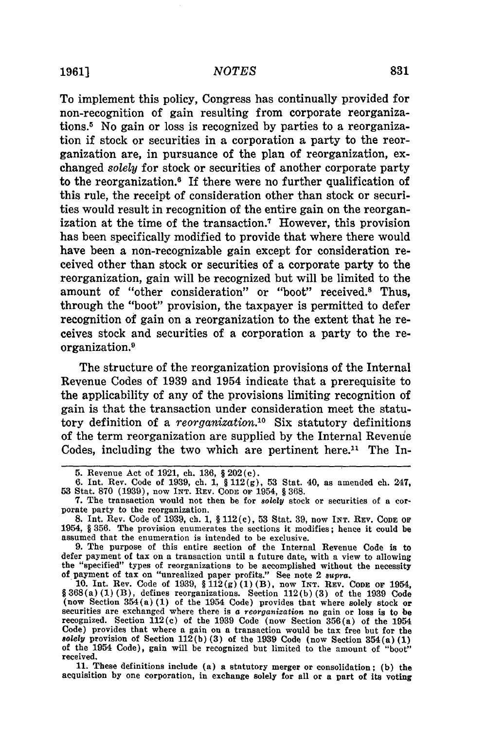To implement this policy, Congress has continually provided for non-recognition of gain resulting from corporate reorganizations.5 No gain or loss is recognized **by** parties to a reorganization if stock or securities in a corporation a party to the reorganization are, in pursuance of the plan of reorganization, exchanged solely for stock or securities of another corporate party to the reorganization.<sup>6</sup> If there were no further qualification of this rule, the receipt of consideration other than stock or securities would result in recognition of the entire gain on the reorganization at the time of the transaction.7 However, this provision has been specifically modified to provide that where there would have been a non-recognizable gain except for consideration received other than stock or securities of a corporate party to the reorganization, gain will be recognized but will be limited to the amount of "other consideration" or "boot" received.8 Thus, through the "boot" provision, the taxpayer is permitted to defer recognition of gain on a reorganization to the extent that he receives stock and securities of a corporation a party to the reorganization. <sup>9</sup>

The structure of the reorganization provisions of the Internal Revenue Codes of **1939** and 1954 indicate that a prerequisite to the applicability of any of the provisions limiting recognition of gain is that the transaction under consideration meet the statutory definition of a *reorganization*.<sup>10</sup> Six statutory definitions of the term reorganization are supplied **by** the Internal Revenue Codes, including the two which are pertinent here.<sup>11</sup> The In-

**9.** The purpose of this entire section of the Internal Revenue Code is to defer payment of tax on a transaction until a future date, with a view to allowing the "specified" types of reorganizations to **be** accomplished without the necessity of payment of tax on "unrealized paper profits." See note 2 supra.

**11.** These definitions include (a) a statutory merger or consolidation; **(b)** the acquisition **by** one corporation, in exchange solely for all or a part of its voting

**<sup>5.</sup>** Revenue Act of **1921,** ch. **136, §** 202(c).

**<sup>6.</sup> Int.** Rev. Code of **1939,** ch. **1, § 112(g), 53** Stat. 40, as amended ch. 247, **53** Stat. **870** (1939), now **INT.** REV. **CODE** OF 1954, § **368.**

**<sup>7.</sup>** The transaction would not then be for *solely* stock or securities of a cor- porate party to the reorganization.

**<sup>8.</sup> Int.** Rev. Code of **1939, ch. 1,** § **112(c), 53** Stat. **39,** now **INT.** REV. **CODE OF** 1954, § **356.** The provision enumerates the sections it modifies; hence it could be assumed that the enumeration is intended to be exclusive.

**<sup>10.</sup> Int.** Rev. Code of **1939,** § **112(g) (1)** (B), now **INT.** REV. CODE **OF** 1954, §368(a) **(1)** (B), defines reorganizations. Section **112(b) (3)** of the **1939** Code (now Section 354 (a) (1) of the 1954 Code) provides that where solely stock of<br>securities are exchanged where there is a reorganization no gain or loss is to be<br>recognized. Section 112(c) of the 1939 Code (now Section 356 Code) provides that where a gain on a transaction would **be** tax free but for the *solely* provision of Section **112(b) (3)** of the **1939** Code (now Section 354(a) **(1)** of the 1954 Code), gain will be recognized but limited to **the** amount of "boot" received.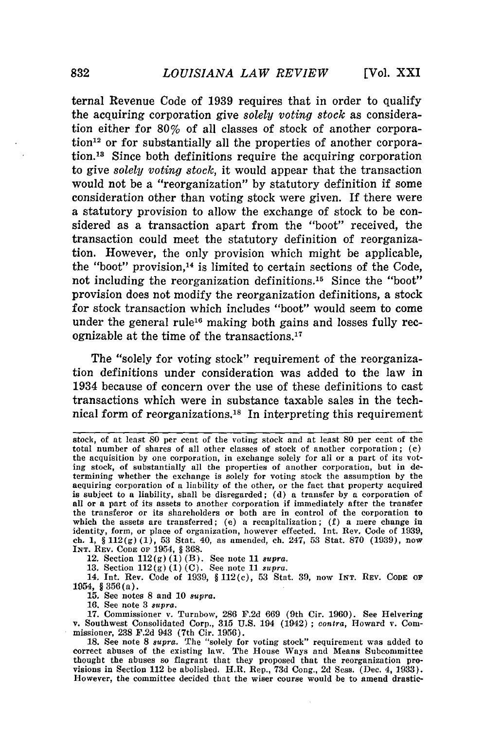ternal Revenue Code of **1939** requires that in order to qualify the acquiring corporation give *solely voting stock* as consideration either for 80% of all classes of stock of another corpora- $\chi$  tion<sup>12</sup> or for substantially all the properties of another corporation.18 Since both definitions require the acquiring corporation to give *solely voting stock,* it would appear that the transaction would not be a "reorganization" **by** statutory definition if some consideration other than voting stock were given. If there were a statutory provision to allow the exchange of stock to be considered as a transaction apart from the "boot" received, the transaction could meet the statutory definition of reorganization. However, the only provision which might be applicable, the "boot" provision,<sup>14</sup> is limited to certain sections of the Code, not including the reorganization definitions.<sup>15</sup> Since the "boot" provision does not modify the reorganization definitions, a stock for stock transaction which includes "boot" would seem to come under the general rule<sup>16</sup> making both gains and losses fully recognizable at the time of the transactions. <sup>17</sup>

The "solely for voting stock" requirement of the reorganization definitions under consideration was added to the law in 1934 because of concern over the use of these definitions to cast transactions which were in substance taxable sales in the technical form of reorganizations.<sup>18</sup> In interpreting this requirement

12. Section 112(g) (1) (B). See note 11 *supra.*

**13.** Section 112(g) (1) (C). See note 11 *supra.* 14, Int. Rev. Code of 1939, § 112(c), 53 Stat. 39, now **INT. REV. CODE OF** 1954, § 356(a).

**15.** See notes 8 and 10 *supra.*

16. See note 3 *8upra.*

17. Commissioner v. Turnbow, 286 F.2d 669 (9th Cir. 1960). See Helvering v. Southwest Consolidated Corp., 315 U.S. 194 (1942) **;** contra, Howard v. Commissioner, 238 F.2d 943 (7th Cir. 1956).

stock, of at least **80** per cent of the voting stock and at least **80** per cent of the total number of shares of all other classes of stock of another corporation; (c) the acquisition by one corporation, in exchange solely for all or a part of its vot**ing** stock, of substantially all the properties of another corporation, but **in** determining whether the exchange is solely for voting stock the assumption by the acquiring corporation of a liability of the other, or the fact that property acquired is subject to a liability, shall be disregarded; (d) a transfer by a corporation **of** all or a part of its assets to another corporation if immediately after the transfer the transferor or its shareholders or both are in control of the corporation to which the assets are transferred; (e) a recapitalization; (f) a mere change in identity, form, or place of organization, however effected. Int. Rev. Code of 1939 ch. 1, § 112(g) (1), 53 Stat. 40, as amended, ch. 247, 53 Stat. 870 (1939), now **INT.** REV. **CODE** OF 1954, § 368.

<sup>18.</sup> See note 8 *supra*. The "solely for voting stock" requirement was added to correct abuses of the existing law. The House Ways and Means Subcommittee thought the abuses so flagrant that they proposed that the reorganiza However, the committee decided that the wiser course would be to amend drastic-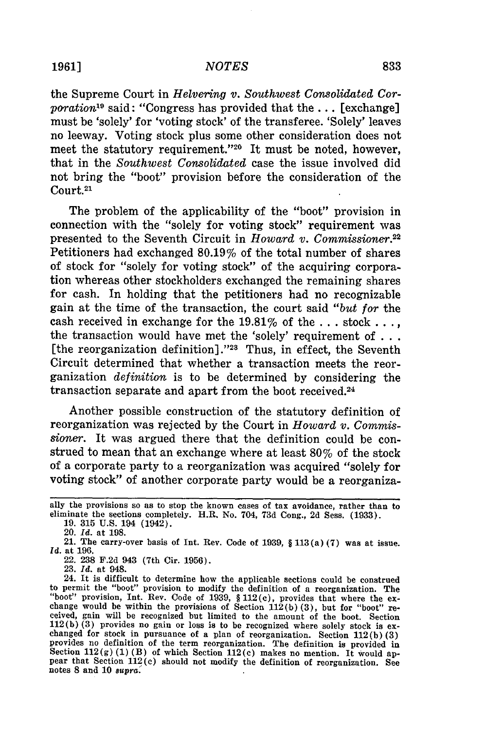#### *NOTES*

the Supreme Court in *Helvering v. Southwest Consolidated Corporation19* said: "Congress has provided that the ... [exchange] must be 'solely' for 'voting stock' of the transferee. 'Solely' leaves no leeway. Voting stock plus some other consideration does not meet the statutory requirement."<sup>20</sup> It must be noted, however, that in the *Southwest Consolidated* case the issue involved did not bring the "boot" provision before the consideration of the Court.21

The problem of the applicability of the "boot" provision in connection with the "solely for voting stock" requirement was presented to the Seventh Circuit in *Howard v. Commissioner.22* Petitioners had exchanged 80.19% of the total number of shares of stock for "solely for voting stock" of the acquiring corporation whereas other stockholders exchanged the remaining shares for cash. In holding that the petitioners had no recognizable gain at the time of the transaction, the court said *"but for* the cash received in exchange for the 19.81% of the **...** stock.. the transaction would have met the 'solely' requirement of  $\dots$ [the reorganization definition] **."23** Thus, in effect, the Seventh Circuit determined that whether a transaction meets the reorganization *definition* is to be determined by considering the transaction separate and apart from the boot received.24

Another possible construction of the statutory definition of reorganization was rejected by the Court in *Howard v. Commissioner.* It was argued there that the definition could be construed to mean that an exchange where at least 80% of the stock of a corporate party to a reorganization was acquired "solely for voting stock" of another corporate party would be a reorganiza-

ally the provisions so as to stop the known cases of tax avoidance, rather than to eliminate the sections completely. H.R. No. 704, 73d Cong., 2d Sess. (1933).

<sup>19. 315</sup> U.S. 194 (1942).

<sup>20.</sup> *Id.* at 198.

<sup>21.</sup> The carry-over basis of Int. Rev. Code of 1939, § **113** (a) (7) was at issue. *Id.* at 196.

<sup>22. 238</sup> F.2d 943 (7th Cir. 1956).

<sup>23.</sup> *Id.* at 948.

<sup>24.</sup> It is difficult to determine how the applicable sections could be construed to permit the "boot" provision to modify the definition of a reorganization. The "boot" provision, Int. Rev. Code of 1939,  $$ 112(c)$ , provides that where the ex-<br>change would be within the provisions of Section 112(b) (3), but for "boot" re-<br>ceived, gain will be recognized but limited to the amount of 112(b) (3) provides no gain or loss is to be recognized where solely stock is ex- changed for stock in pursuance of a plan of reorganization. Section 112(b) **(3)** provides no definition of the term reorganization. The definition is provided in Section  $112(g)(1)(B)$  of which Section  $112(c)$  makes no mention. It would appear that Section 112(c) should not modify the definition of reorganization. See notes **8** and **10** supra.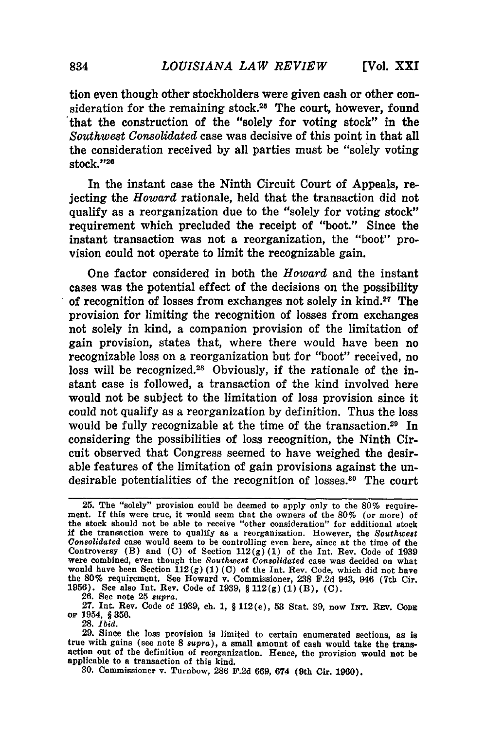tion even though other stockholders were given cash or other consideration for the remaining stock.<sup>25</sup> The court, however, found that the construction of the "solely for voting stock" in the *Southwest Consolidated* case was decisive of this point in that all the consideration received by all parties must be "solely voting stock."<sup>26</sup>

In the instant case the Ninth Circuit Court of Appeals, rejecting the *Howard* rationale, held that the transaction did not qualify as a reorganization due to the "solely for voting stock" requirement which precluded the receipt of "boot." Since the instant transaction was not a reorganization, the "boot" provision could not operate to limit the recognizable gain.

One factor considered in both the *Howard* and the instant cases was the potential effect of the decisions on the possibility of recognition of losses from exchanges not solely in kind.27 The provision for limiting the recognition of losses from exchanges not solely in kind, a companion provision of the limitation of gain provision, states that, where there would have been no recognizable loss on a reorganization but for "boot" received, no loss will be recognized.<sup>28</sup> Obviously, if the rationale of the instant case is followed, a transaction of the kind involved here would not be subject to the limitation of loss provision since it could not qualify as a reorganization by definition. Thus the loss would be fully recognizable at the time of the transaction.<sup>29</sup> In considering the possibilities of loss recognition, the Ninth Circuit observed that Congress seemed to have weighed the desirable features of the limitation of gain provisions against the undesirable potentialities of the recognition of losses.<sup>30</sup> The court

**26.** See note **25** *supra.*

**27.** Int. Rev, Code of **1939,** ch. **1,** § 112(e), **53** Stat. **39,** now **INT. REV. CODE oF** 1954, § **356.**

**28.** *Ibid.*

**30.** Commissioner v. Turnbow, **286 F.2d 669,** 674 (9th Cir. **1960).**

**<sup>25.</sup>** The "solely" provision could be deemed to apply only to the 80% requirement. If this were true, it would seem that the owners of the 80% (or more) of the stock should not be able to receive "other consideration" for additional stock if the transaction were to qualify as a reorganization. However, the *Southwest Consolidated* case would seem to be controlling even here, since at the time of the Controversy (B) and **(C)** of Section **112(g) (1)** of the Int. Rev. Code of **<sup>1939</sup>** were combined, even though the *Southwest Consolidated* case was decided on what would have been Section **112(g) (1) (C)** of the **Int.** Rev. Code, which did not have the **80%** requirement. See Howard v. Commissioner, **238 F.2d** 943, 946 (7th Cir. **1956).** See also **Int.** Rev. Code of **1939,** § **112(g) (1)** (B), **(C).**

**<sup>29.</sup>** Since the loss provision is limited to certain enumerated sections, as is true with gains (see note **8** *supra),* a small amount of cash would take the transaction out of the definition of reorganization. Hence, the provision would not **be** applicable to a transaction of this kind.